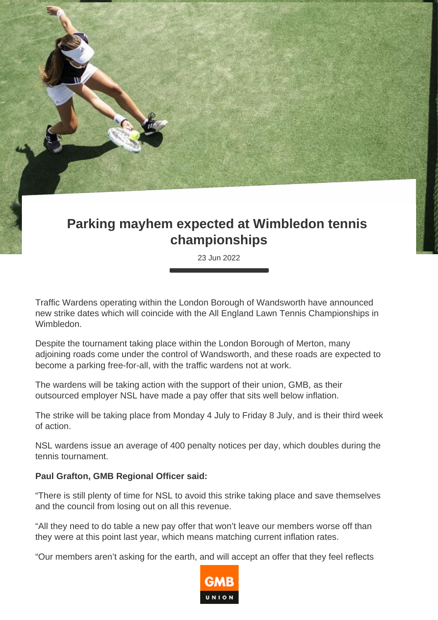## **Parking mayhem expected at Wimbledon tennis championships**

23 Jun 2022

Traffic Wardens operating within the London Borough of Wandsworth have announced new strike dates which will coincide with the All England Lawn Tennis Championships in Wimbledon.

Despite the tournament taking place within the London Borough of Merton, many adjoining roads come under the control of Wandsworth, and these roads are expected to become a parking free-for-all, with the traffic wardens not at work.

The wardens will be taking action with the support of their union, GMB, as their outsourced employer NSL have made a pay offer that sits well below inflation.

The strike will be taking place from Monday 4 July to Friday 8 July, and is their third week of action.

NSL wardens issue an average of 400 penalty notices per day, which doubles during the tennis tournament.

## **Paul Grafton, GMB Regional Officer said:**

"There is still plenty of time for NSL to avoid this strike taking place and save themselves and the council from losing out on all this revenue.

"All they need to do table a new pay offer that won't leave our members worse off than they were at this point last year, which means matching current inflation rates.

"Our members aren't asking for the earth, and will accept an offer that they feel reflects